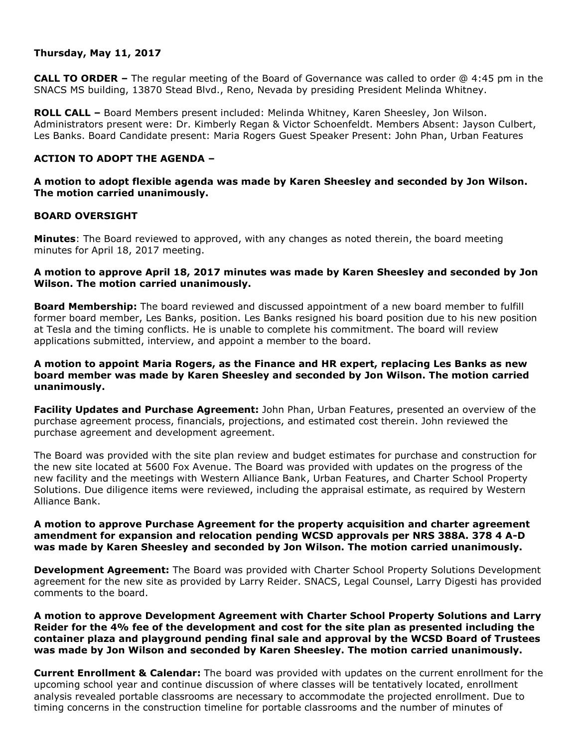# **Thursday, May 11, 2017**

**CALL TO ORDER –** The regular meeting of the Board of Governance was called to order @ 4:45 pm in the SNACS MS building, 13870 Stead Blvd., Reno, Nevada by presiding President Melinda Whitney.

**ROLL CALL –** Board Members present included: Melinda Whitney, Karen Sheesley, Jon Wilson. Administrators present were: Dr. Kimberly Regan & Victor Schoenfeldt. Members Absent: Jayson Culbert, Les Banks. Board Candidate present: Maria Rogers Guest Speaker Present: John Phan, Urban Features

# **ACTION TO ADOPT THE AGENDA –**

# **A motion to adopt flexible agenda was made by Karen Sheesley and seconded by Jon Wilson. The motion carried unanimously.**

### **BOARD OVERSIGHT**

**Minutes**: The Board reviewed to approved, with any changes as noted therein, the board meeting minutes for April 18, 2017 meeting.

# **A motion to approve April 18, 2017 minutes was made by Karen Sheesley and seconded by Jon Wilson. The motion carried unanimously.**

**Board Membership:** The board reviewed and discussed appointment of a new board member to fulfill former board member, Les Banks, position. Les Banks resigned his board position due to his new position at Tesla and the timing conflicts. He is unable to complete his commitment. The board will review applications submitted, interview, and appoint a member to the board.

# **A motion to appoint Maria Rogers, as the Finance and HR expert, replacing Les Banks as new board member was made by Karen Sheesley and seconded by Jon Wilson. The motion carried unanimously.**

**Facility Updates and Purchase Agreement:** John Phan, Urban Features, presented an overview of the purchase agreement process, financials, projections, and estimated cost therein. John reviewed the purchase agreement and development agreement.

The Board was provided with the site plan review and budget estimates for purchase and construction for the new site located at 5600 Fox Avenue. The Board was provided with updates on the progress of the new facility and the meetings with Western Alliance Bank, Urban Features, and Charter School Property Solutions. Due diligence items were reviewed, including the appraisal estimate, as required by Western Alliance Bank.

### **A motion to approve Purchase Agreement for the property acquisition and charter agreement amendment for expansion and relocation pending WCSD approvals per NRS 388A. 378 4 A-D was made by Karen Sheesley and seconded by Jon Wilson. The motion carried unanimously.**

**Development Agreement:** The Board was provided with Charter School Property Solutions Development agreement for the new site as provided by Larry Reider. SNACS, Legal Counsel, Larry Digesti has provided comments to the board.

### **A motion to approve Development Agreement with Charter School Property Solutions and Larry Reider for the 4% fee of the development and cost for the site plan as presented including the container plaza and playground pending final sale and approval by the WCSD Board of Trustees was made by Jon Wilson and seconded by Karen Sheesley. The motion carried unanimously.**

**Current Enrollment & Calendar:** The board was provided with updates on the current enrollment for the upcoming school year and continue discussion of where classes will be tentatively located, enrollment analysis revealed portable classrooms are necessary to accommodate the projected enrollment. Due to timing concerns in the construction timeline for portable classrooms and the number of minutes of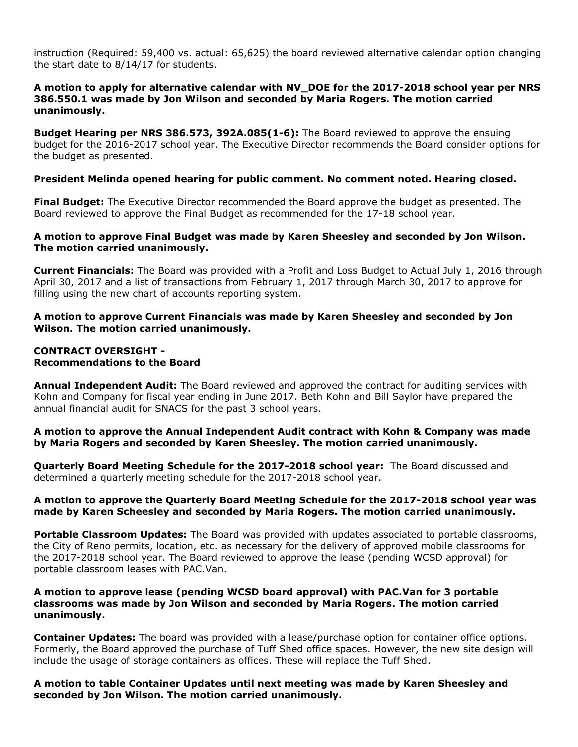instruction (Required: 59,400 vs. actual: 65,625) the board reviewed alternative calendar option changing the start date to 8/14/17 for students.

# **A motion to apply for alternative calendar with NV\_DOE for the 2017-2018 school year per NRS 386.550.1 was made by Jon Wilson and seconded by Maria Rogers. The motion carried unanimously.**

**Budget Hearing per NRS 386.573, 392A.085(1-6):** The Board reviewed to approve the ensuing budget for the 2016-2017 school year. The Executive Director recommends the Board consider options for the budget as presented.

# **President Melinda opened hearing for public comment. No comment noted. Hearing closed.**

**Final Budget:** The Executive Director recommended the Board approve the budget as presented. The Board reviewed to approve the Final Budget as recommended for the 17-18 school year.

### **A motion to approve Final Budget was made by Karen Sheesley and seconded by Jon Wilson. The motion carried unanimously.**

**Current Financials:** The Board was provided with a Profit and Loss Budget to Actual July 1, 2016 through April 30, 2017 and a list of transactions from February 1, 2017 through March 30, 2017 to approve for filling using the new chart of accounts reporting system.

# **A motion to approve Current Financials was made by Karen Sheesley and seconded by Jon Wilson. The motion carried unanimously.**

#### **CONTRACT OVERSIGHT - Recommendations to the Board**

**Annual Independent Audit:** The Board reviewed and approved the contract for auditing services with Kohn and Company for fiscal year ending in June 2017. Beth Kohn and Bill Saylor have prepared the annual financial audit for SNACS for the past 3 school years.

**A motion to approve the Annual Independent Audit contract with Kohn & Company was made by Maria Rogers and seconded by Karen Sheesley. The motion carried unanimously.** 

**Quarterly Board Meeting Schedule for the 2017-2018 school year:** The Board discussed and determined a quarterly meeting schedule for the 2017-2018 school year.

### **A motion to approve the Quarterly Board Meeting Schedule for the 2017-2018 school year was made by Karen Scheesley and seconded by Maria Rogers. The motion carried unanimously.**

**Portable Classroom Updates:** The Board was provided with updates associated to portable classrooms, the City of Reno permits, location, etc. as necessary for the delivery of approved mobile classrooms for the 2017-2018 school year. The Board reviewed to approve the lease (pending WCSD approval) for portable classroom leases with PAC.Van.

#### **A motion to approve lease (pending WCSD board approval) with PAC.Van for 3 portable classrooms was made by Jon Wilson and seconded by Maria Rogers. The motion carried unanimously.**

**Container Updates:** The board was provided with a lease/purchase option for container office options. Formerly, the Board approved the purchase of Tuff Shed office spaces. However, the new site design will include the usage of storage containers as offices. These will replace the Tuff Shed.

**A motion to table Container Updates until next meeting was made by Karen Sheesley and seconded by Jon Wilson. The motion carried unanimously.**